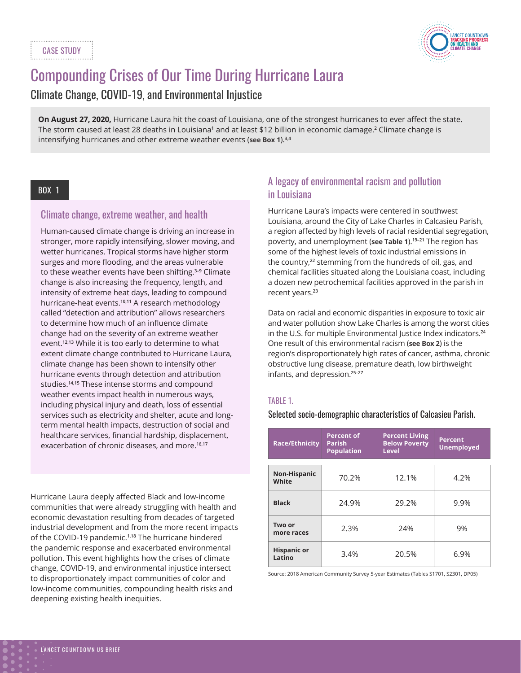

# Compounding Crises of Our Time During Hurricane Laura

Climate Change, COVID-19, and Environmental Injustice

**On August 27, 2020,** Hurricane Laura hit the coast of Louisiana, one of the strongest hurricanes to ever affect the state. The storm caused at least 28 deaths in Louisiana**<sup>1</sup>** and at least \$12 billion in economic damage.**<sup>2</sup>** Climate change is intensifying hurricanes and other extreme weather events (**see Box 1**).**3,4**

## BOX 1

## Climate change, extreme weather, and health

Human-caused climate change is driving an increase in stronger, more rapidly intensifying, slower moving, and wetter hurricanes. Tropical storms have higher storm surges and more flooding, and the areas vulnerable to these weather events have been shifting.**3–9** Climate change is also increasing the frequency, length, and intensity of extreme heat days, leading to compound hurricane-heat events.**10,11** A research methodology called "detection and attribution" allows researchers to determine how much of an influence climate change had on the severity of an extreme weather event.**12,13** While it is too early to determine to what extent climate change contributed to Hurricane Laura, climate change has been shown to intensify other hurricane events through detection and attribution studies.**14,15** These intense storms and compound weather events impact health in numerous ways, including physical injury and death, loss of essential services such as electricity and shelter, acute and longterm mental health impacts, destruction of social and healthcare services, financial hardship, displacement, exacerbation of chronic diseases, and more.**16,17**

Hurricane Laura deeply affected Black and low-income communities that were already struggling with health and economic devastation resulting from decades of targeted industrial development and from the more recent impacts of the COVID-19 pandemic.**1,18** The hurricane hindered the pandemic response and exacerbated environmental pollution. This event highlights how the crises of climate change, COVID-19, and environmental injustice intersect to disproportionately impact communities of color and low-income communities, compounding health risks and deepening existing health inequities.

# A legacy of environmental racism and pollution in Louisiana

Hurricane Laura's impacts were centered in southwest Louisiana, around the City of Lake Charles in Calcasieu Parish, a region affected by high levels of racial residential segregation, poverty, and unemployment (**see Table 1**).**19–21** The region has some of the highest levels of toxic industrial emissions in the country,**22** stemming from the hundreds of oil, gas, and chemical facilities situated along the Louisiana coast, including a dozen new petrochemical facilities approved in the parish in recent years.**<sup>23</sup>**

Data on racial and economic disparities in exposure to toxic air and water pollution show Lake Charles is among the worst cities in the U.S. for multiple Environmental Justice Index indicators.**<sup>24</sup>** One result of this environmental racism (**see Box 2**) is the region's disproportionately high rates of cancer, asthma, chronic obstructive lung disease, premature death, low birthweight infants, and depression.**25–27**

## TABLE 1.

Selected socio-demographic characteristics of Calcasieu Parish.

| <b>Race/Ethnicity</b>        | <b>Percent of</b><br><b>Parish</b><br><b>Population</b> | <b>Percent Living</b><br><b>Below Poverty</b><br><b>Level</b> | <b>Percent</b><br><b>Unemployed</b> |
|------------------------------|---------------------------------------------------------|---------------------------------------------------------------|-------------------------------------|
| Non-Hispanic<br>White        | 70.2%                                                   | 12.1%                                                         | 4.2%                                |
| <b>Black</b>                 | 24.9%                                                   | 29.2%                                                         | 9.9%                                |
| Two or<br>more races         | 2.3%                                                    | 24%                                                           | 9%                                  |
| <b>Hispanic or</b><br>Latino | 3.4%                                                    | 20.5%                                                         | 6.9%                                |

Source: 2018 American Community Survey 5-year Estimates (Tables S1701, S2301, DP05)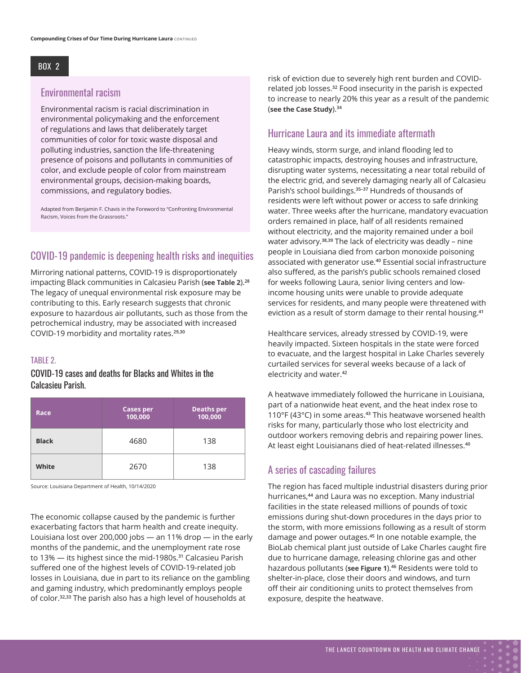## BOX 2

#### Environmental racism

Environmental racism is racial discrimination in environmental policymaking and the enforcement of regulations and laws that deliberately target communities of color for toxic waste disposal and polluting industries, sanction the life-threatening presence of poisons and pollutants in communities of color, and exclude people of color from mainstream environmental groups, decision-making boards, commissions, and regulatory bodies.

Adapted from Benjamin F. Chavis in the Foreword to "Confronting Environmental Racism, Voices from the Grassroots."

# COVID-19 pandemic is deepening health risks and inequities

Mirroring national patterns, COVID-19 is disproportionately impacting Black communities in Calcasieu Parish (**see Table 2**).**<sup>28</sup>** The legacy of unequal environmental risk exposure may be contributing to this. Early research suggests that chronic exposure to hazardous air pollutants, such as those from the petrochemical industry, may be associated with increased COVID-19 morbidity and mortality rates.**29,30**

#### TABLE 2.

COVID-19 cases and deaths for Blacks and Whites in the Calcasieu Parish.

| Race         | <b>Cases per</b><br>100,000 | <b>Deaths per</b><br>100,000 |
|--------------|-----------------------------|------------------------------|
| <b>Black</b> | 4680                        | 138                          |
| White        | 2670                        | 138                          |

Source: Louisiana Department of Health, 10/14/2020

The economic collapse caused by the pandemic is further exacerbating factors that harm health and create inequity. Louisiana lost over 200,000 jobs — an 11% drop — in the early months of the pandemic, and the unemployment rate rose to 13% — its highest since the mid-1980s.**31** Calcasieu Parish suffered one of the highest levels of COVID-19-related job losses in Louisiana, due in part to its reliance on the gambling and gaming industry, which predominantly employs people of color.**32,33** The parish also has a high level of households at

risk of eviction due to severely high rent burden and COVIDrelated job losses.**32** Food insecurity in the parish is expected to increase to nearly 20% this year as a result of the pandemic (**see the Case Study**).**<sup>34</sup>**

## Hurricane Laura and its immediate aftermath

Heavy winds, storm surge, and inland flooding led to catastrophic impacts, destroying houses and infrastructure, disrupting water systems, necessitating a near total rebuild of the electric grid, and severely damaging nearly all of Calcasieu Parish's school buildings.**35–37** Hundreds of thousands of residents were left without power or access to safe drinking water. Three weeks after the hurricane, mandatory evacuation orders remained in place, half of all residents remained without electricity, and the majority remained under a boil water advisory.**38,39** The lack of electricity was deadly – nine people in Louisiana died from carbon monoxide poisoning associated with generator use.**40** Essential social infrastructure also suffered, as the parish's public schools remained closed for weeks following Laura, senior living centers and lowincome housing units were unable to provide adequate services for residents, and many people were threatened with eviction as a result of storm damage to their rental housing.**<sup>41</sup>**

Healthcare services, already stressed by COVID-19, were heavily impacted. Sixteen hospitals in the state were forced to evacuate, and the largest hospital in Lake Charles severely curtailed services for several weeks because of a lack of electricity and water.**<sup>42</sup>**

A heatwave immediately followed the hurricane in Louisiana, part of a nationwide heat event, and the heat index rose to 110°F (43°C) in some areas.**43** This heatwave worsened health risks for many, particularly those who lost electricity and outdoor workers removing debris and repairing power lines. At least eight Louisianans died of heat-related illnesses.**<sup>40</sup>**

#### A series of cascading failures

The region has faced multiple industrial disasters during prior hurricanes,**44** and Laura was no exception. Many industrial facilities in the state released millions of pounds of toxic emissions during shut-down procedures in the days prior to the storm, with more emissions following as a result of storm damage and power outages.**45** In one notable example, the BioLab chemical plant just outside of Lake Charles caught fire due to hurricane damage, releasing chlorine gas and other hazardous pollutants (**see Figure 1**).**46** Residents were told to shelter-in-place, close their doors and windows, and turn off their air conditioning units to protect themselves from exposure, despite the heatwave.